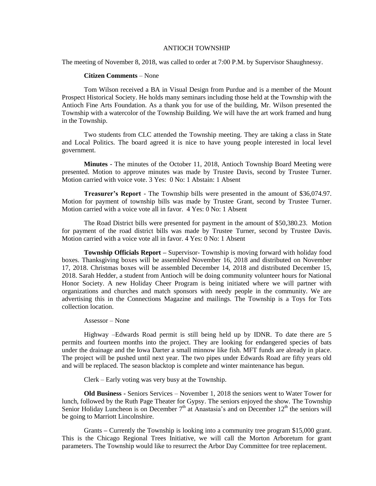## ANTIOCH TOWNSHIP

The meeting of November 8, 2018, was called to order at 7:00 P.M. by Supervisor Shaughnessy.

## **Citizen Comments** – None

Tom Wilson received a BA in Visual Design from Purdue and is a member of the Mount Prospect Historical Society. He holds many seminars including those held at the Township with the Antioch Fine Arts Foundation. As a thank you for use of the building, Mr. Wilson presented the Township with a watercolor of the Township Building. We will have the art work framed and hung in the Township.

Two students from CLC attended the Township meeting. They are taking a class in State and Local Politics. The board agreed it is nice to have young people interested in local level government.

**Minutes** - The minutes of the October 11, 2018, Antioch Township Board Meeting were presented. Motion to approve minutes was made by Trustee Davis, second by Trustee Turner. Motion carried with voice vote. 3 Yes: 0 No: 1 Abstain: 1 Absent

**Treasurer's Report** - The Township bills were presented in the amount of \$36,074.97. Motion for payment of township bills was made by Trustee Grant, second by Trustee Turner. Motion carried with a voice vote all in favor. 4 Yes: 0 No: 1 Absent

The Road District bills were presented for payment in the amount of \$50,380.23. Motion for payment of the road district bills was made by Trustee Turner, second by Trustee Davis. Motion carried with a voice vote all in favor. 4 Yes: 0 No: 1 Absent

**Township Officials Report –** Supervisor- Township is moving forward with holiday food boxes. Thanksgiving boxes will be assembled November 16, 2018 and distributed on November 17, 2018. Christmas boxes will be assembled December 14, 2018 and distributed December 15, 2018. Sarah Hedder, a student from Antioch will be doing community volunteer hours for National Honor Society. A new Holiday Cheer Program is being initiated where we will partner with organizations and churches and match sponsors with needy people in the community. We are advertising this in the Connections Magazine and mailings. The Township is a Toys for Tots collection location.

## Assessor – None

Highway –Edwards Road permit is still being held up by IDNR. To date there are 5 permits and fourteen months into the project. They are looking for endangered species of bats under the drainage and the Iowa Darter a small minnow like fish. MFT funds are already in place. The project will be pushed until next year. The two pipes under Edwards Road are fifty years old and will be replaced. The season blacktop is complete and winter maintenance has begun.

Clerk – Early voting was very busy at the Township.

**Old Business -** Seniors Services – November 1, 2018 the seniors went to Water Tower for lunch, followed by the Ruth Page Theater for Gypsy. The seniors enjoyed the show. The Township Senior Holiday Luncheon is on December  $7<sup>th</sup>$  at Anastasia's and on December  $12<sup>th</sup>$  the seniors will be going to Marriott Lincolnshire.

Grants **–** Currently the Township is looking into a community tree program \$15,000 grant. This is the Chicago Regional Trees Initiative, we will call the Morton Arboretum for grant parameters. The Township would like to resurrect the Arbor Day Committee for tree replacement.